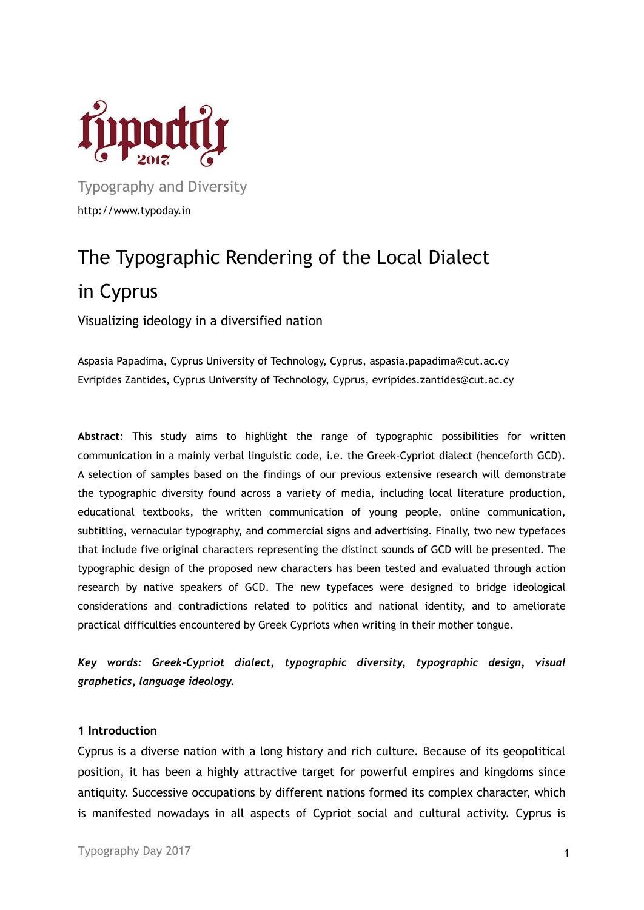

Typography and Diversity http://www.typoday.in

# The Typographic Rendering of the Local Dialect in Cyprus

Visualizing ideology in a diversified nation

Aspasia Papadima, Cyprus University of Technology, Cyprus, aspasia.papadima@cut.ac.cy Evripides Zantides, Cyprus University of Technology, Cyprus, evripides.zantides@cut.ac.cy

**Abstract**: This study aims to highlight the range of typographic possibilities for written communication in a mainly verbal linguistic code, i.e. the Greek-Cypriot dialect (henceforth GCD). A selection of samples based on the findings of our previous extensive research will demonstrate the typographic diversity found across a variety of media, including local literature production, educational textbooks, the written communication of young people, online communication, subtitling, vernacular typography, and commercial signs and advertising. Finally, two new typefaces that include five original characters representing the distinct sounds of GCD will be presented. The typographic design of the proposed new characters has been tested and evaluated through action research by native speakers of GCD. The new typefaces were designed to bridge ideological considerations and contradictions related to politics and national identity, and to ameliorate practical difficulties encountered by Greek Cypriots when writing in their mother tongue.

*Key words: Greek-Cypriot dialect, typographic diversity, typographic design, visual graphetics, language ideology.*

### **1 Introduction**

Cyprus is a diverse nation with a long history and rich culture. Because of its geopolitical position, it has been a highly attractive target for powerful empires and kingdoms since antiquity. Successive occupations by different nations formed its complex character, which is manifested nowadays in all aspects of Cypriot social and cultural activity. Cyprus is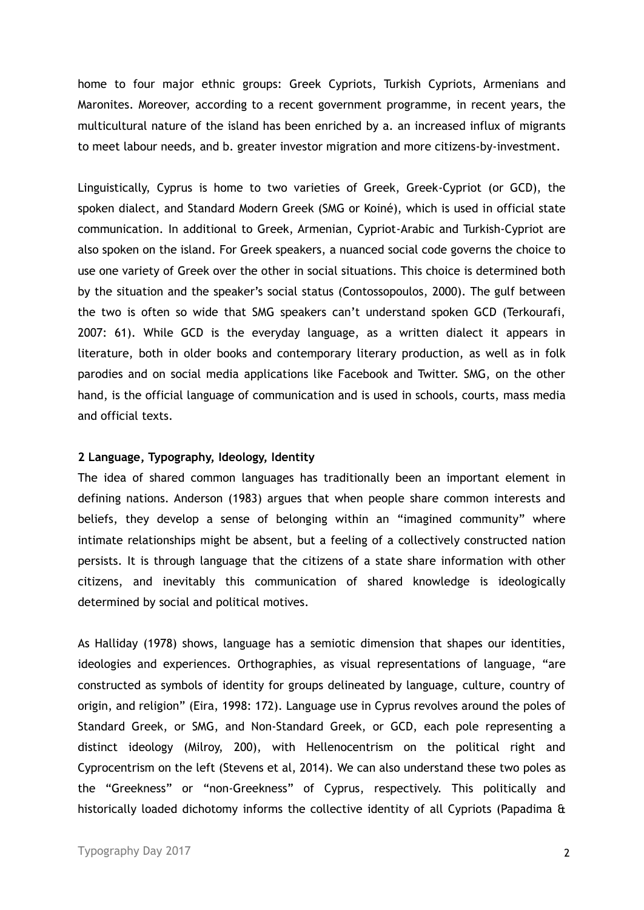home to four major ethnic groups: Greek Cypriots, Turkish Cypriots, Armenians and Maronites. Moreover, according to a recent government programme, in recent years, the multicultural nature of the island has been enriched by a. an increased influx of migrants to meet labour needs, and b. greater investor migration and more citizens-by-investment.

Linguistically, Cyprus is home to two varieties of Greek, Greek-Cypriot (or GCD), the spoken dialect, and Standard Modern Greek (SMG or Koiné), which is used in official state communication. In additional to Greek, Armenian, Cypriot-Arabic and Turkish-Cypriot are also spoken on the island. For Greek speakers, a nuanced social code governs the choice to use one variety of Greek over the other in social situations. This choice is determined both by the situation and the speaker's social status (Contossopoulos, 2000). The gulf between the two is often so wide that SMG speakers can't understand spoken GCD (Terkourafi, 2007: 61). While GCD is the everyday language, as a written dialect it appears in literature, both in older books and contemporary literary production, as well as in folk parodies and on social media applications like Facebook and Twitter. SMG, on the other hand, is the official language of communication and is used in schools, courts, mass media and official texts.

### **2 Language, Typography, Ideology, Identity**

The idea of shared common languages has traditionally been an important element in defining nations. Anderson (1983) argues that when people share common interests and beliefs, they develop a sense of belonging within an "imagined community" where intimate relationships might be absent, but a feeling of a collectively constructed nation persists. It is through language that the citizens of a state share information with other citizens, and inevitably this communication of shared knowledge is ideologically determined by social and political motives.

As Halliday (1978) shows, language has a semiotic dimension that shapes our identities, ideologies and experiences. Orthographies, as visual representations of language, "are constructed as symbols of identity for groups delineated by language, culture, country of origin, and religion" (Eira, 1998: 172). Language use in Cyprus revolves around the poles of Standard Greek, or SMG, and Non-Standard Greek, or GCD, each pole representing a distinct ideology (Milroy, 200), with Hellenocentrism on the political right and Cyprocentrism on the left (Stevens et al, 2014). We can also understand these two poles as the "Greekness" or "non-Greekness" of Cyprus, respectively. This politically and historically loaded dichotomy informs the collective identity of all Cypriots (Papadima &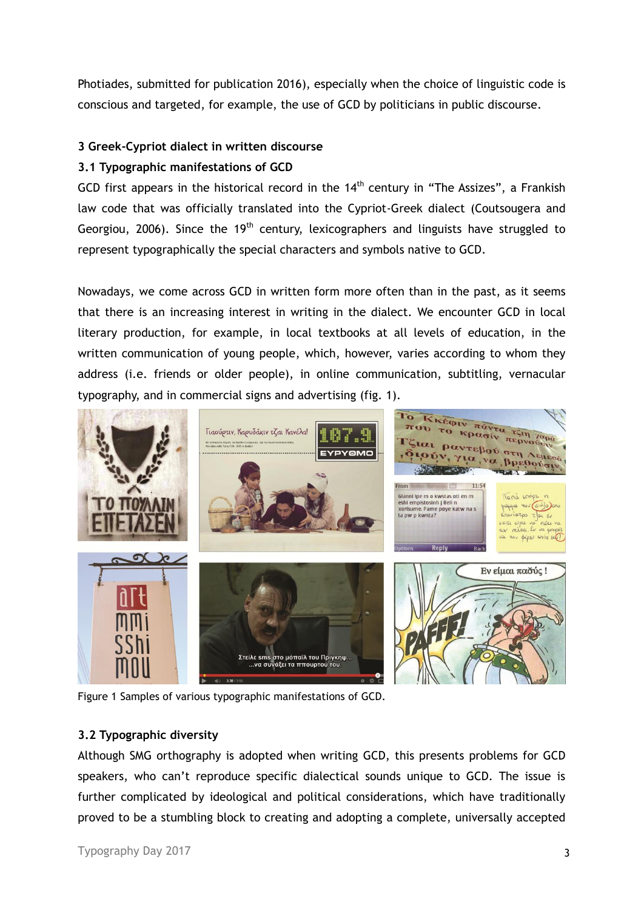Photiades, submitted for publication 2016), especially when the choice of linguistic code is conscious and targeted, for example, the use of GCD by politicians in public discourse.

### **3 Greek-Cypriot dialect in written discourse**

### **3.1 Typographic manifestations of GCD**

GCD first appears in the historical record in the  $14<sup>th</sup>$  century in "The Assizes", a Frankish law code that was officially translated into the Cypriot-Greek dialect (Coutsougera and Georgiou, 2006). Since the  $19<sup>th</sup>$  century, lexicographers and linguists have struggled to represent typographically the special characters and symbols native to GCD.

Nowadays, we come across GCD in written form more often than in the past, as it seems that there is an increasing interest in writing in the dialect. We encounter GCD in local literary production, for example, in local textbooks at all levels of education, in the written communication of young people, which, however, varies according to whom they address (i.e. friends or older people), in online communication, subtitling, vernacular typography, and in commercial signs and advertising (fig. 1).



Figure 1 Samples of various typographic manifestations of GCD.

### **3.2 Typographic diversity**

Although SMG orthography is adopted when writing GCD, this presents problems for GCD speakers, who can't reproduce specific dialectical sounds unique to GCD. The issue is further complicated by ideological and political considerations, which have traditionally proved to be a stumbling block to creating and adopting a complete, universally accepted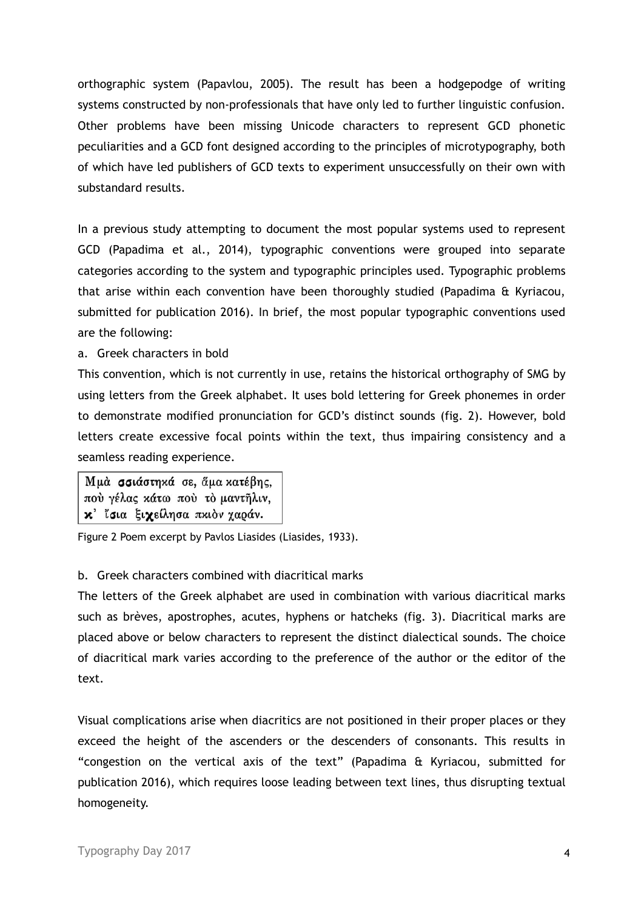orthographic system (Papavlou, 2005). The result has been a hodgepodge of writing systems constructed by non-professionals that have only led to further linguistic confusion. Other problems have been missing Unicode characters to represent GCD phonetic peculiarities and a GCD font designed according to the principles of microtypography, both of which have led publishers of GCD texts to experiment unsuccessfully on their own with substandard results.

In a previous study attempting to document the most popular systems used to represent GCD (Papadima et al., 2014), typographic conventions were grouped into separate categories according to the system and typographic principles used. Typographic problems that arise within each convention have been thoroughly studied (Papadima & Kyriacou, submitted for publication 2016). In brief, the most popular typographic conventions used are the following:

a. Greek characters in bold

This convention, which is not currently in use, retains the historical orthography of SMG by using letters from the Greek alphabet. It uses bold lettering for Greek phonemes in order to demonstrate modified pronunciation for GCD's distinct sounds (fig. 2). However, bold letters create excessive focal points within the text, thus impairing consistency and a seamless reading experience.

Μμά σσιάστηχά σε, άμα χατέβης, πού γέλας κάτω πού το μαντηλιν, κ' ίσια ξιχείλησα πκιον χαράν.

Figure 2 Poem excerpt by Pavlos Liasides (Liasides, 1933).

# b. Greek characters combined with diacritical marks

The letters of the Greek alphabet are used in combination with various diacritical marks such as brèves, apostrophes, acutes, hyphens or hatcheks (fig. 3). Diacritical marks are placed above or below characters to represent the distinct dialectical sounds. The choice of diacritical mark varies according to the preference of the author or the editor of the text.

Visual complications arise when diacritics are not positioned in their proper places or they exceed the height of the ascenders or the descenders of consonants. This results in "congestion on the vertical axis of the text" (Papadima & Kyriacou, submitted for publication 2016), which requires loose leading between text lines, thus disrupting textual homogeneity.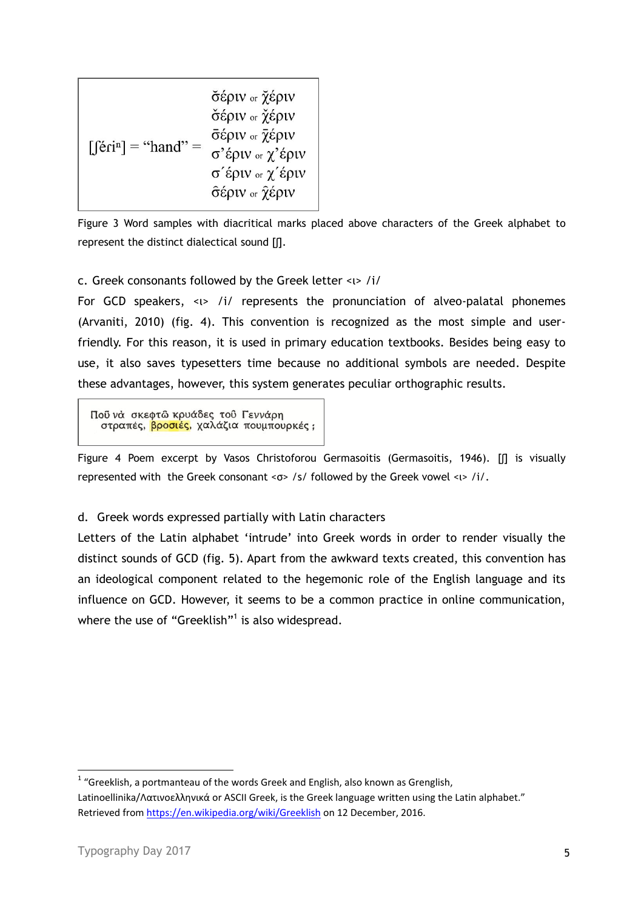| $\left[\int \hat{\mathbf{e}} \hat{\mathbf{e}} \hat{\mathbf{e}} \cdot \hat{\mathbf{e}} \cdot \hat{\mathbf{e}} \cdot \hat{\mathbf{e}} \cdot \hat{\mathbf{e}} \cdot \hat{\mathbf{e}} \cdot \hat{\mathbf{e}} \cdot \hat{\mathbf{e}} \cdot \hat{\mathbf{e}} \cdot \hat{\mathbf{e}} \cdot \hat{\mathbf{e}} \cdot \hat{\mathbf{e}} \cdot \hat{\mathbf{e}} \cdot \hat{\mathbf{e}} \cdot \hat{\mathbf{e}} \cdot \hat{\mathbf{e}} \cdot \hat{\mathbf{e}} \cdot \hat{\mathbf{e}} \cdot \hat{\mathbf{e}} \cdot \hat{\mathbf{e}} \cdot$ | σέριν <sub>or</sub> χέριν<br>σέριν <sub>or</sub> χέριν<br>σέριν or $\bar{\chi}$ έριν<br>σ'έριν <sub>or</sub> χ'έριν<br>σ <sup>'</sup> έριν <sub>or</sub> χ'έριν<br>σέριν or χέριν |
|----------------------------------------------------------------------------------------------------------------------------------------------------------------------------------------------------------------------------------------------------------------------------------------------------------------------------------------------------------------------------------------------------------------------------------------------------------------------------------------------------------------------------|-----------------------------------------------------------------------------------------------------------------------------------------------------------------------------------|
|                                                                                                                                                                                                                                                                                                                                                                                                                                                                                                                            |                                                                                                                                                                                   |

Figure 3 Word samples with diacritical marks placed above characters of the Greek alphabet to represent the distinct dialectical sound [ʃ].

### c. Greek consonants followed by the Greek letter <ι> /i/

For GCD speakers, <ι> /i/ represents the pronunciation of alveo-palatal phonemes (Arvaniti, 2010) (fig. 4). This convention is recognized as the most simple and userfriendly. For this reason, it is used in primary education textbooks. Besides being easy to use, it also saves typesetters time because no additional symbols are needed. Despite these advantages, however, this system generates peculiar orthographic results.

Πού νά σκεφτώ κρυάδες του Γεννάρη στραπές, βροσιές, χαλάζια πουμπουρκές;

Figure 4 Poem excerpt by Vasos Christoforou Germasoitis (Germasoitis, 1946). [ʃ] is visually represented with the Greek consonant <σ> /s/ followed by the Greek vowel <ι> /i/.

# d. Greek words expressed partially with Latin characters

Letters of the Latin alphabet 'intrude' into Greek words in order to render visually the distinct sounds of GCD (fig. 5). Apart from the awkward texts created, this convention has an ideological component related to the hegemonic role of the English language and its influence on GCD. However, it seems to be a common practice in online communication, where the use of "Greeklish"<sup>1</sup> is also widespread.

**.** 

 $1$  "Greeklish, a portmanteau of the words Greek and English, also known as Grenglish, Latinoellinika/Λατινοελληνικά or ASCII Greek, is the Greek language written using the Latin alphabet." Retrieved fro[m https://en.wikipedia.org/wiki/Greeklish](https://en.wikipedia.org/wiki/Greeklish) on 12 December, 2016.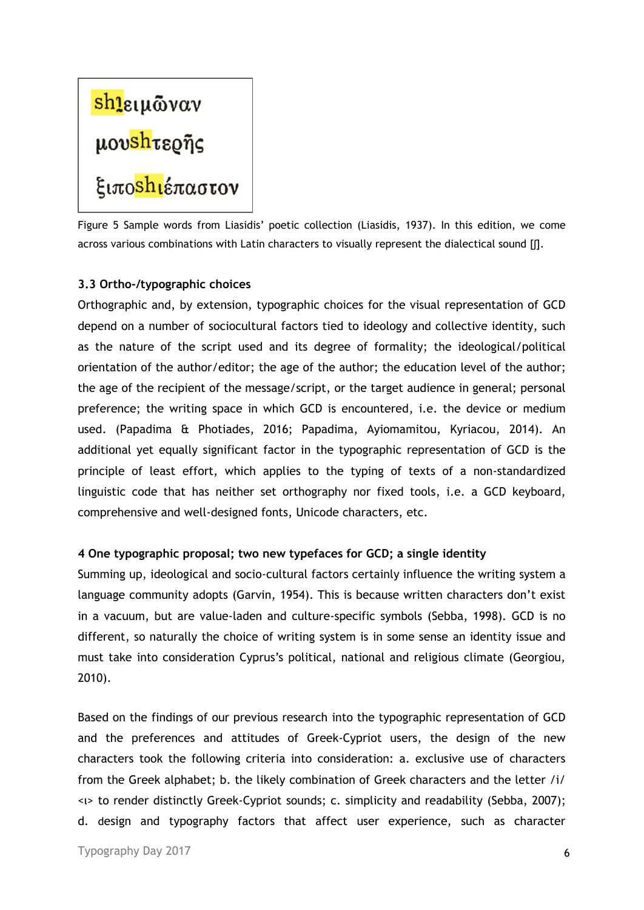# <mark>shι</mark>ειμῶναν<br>μου<mark>shτερῆς</mark><br>ξιπο<mark>shι</mark>έπαστον

Figure 5 Sample words from Liasidis' poetic collection (Liasidis, 1937). In this edition, we come across various combinations with Latin characters to visually represent the dialectical sound [[].

### **3.3 Ortho-/typographic choices**

Orthographic and, by extension, typographic choices for the visual representation of GCD depend on a number of sociocultural factors tied to ideology and collective identity, such as the nature of the script used and its degree of formality; the ideological/political orientation of the author/editor; the age of the author; the education level of the author; the age of the recipient of the message/script, or the target audience in general; personal preference; the writing space in which GCD is encountered, i.e. the device or medium used. (Papadima & Photiades, 2016; Papadima, Ayiomamitou, Kyriacou, 2014). An additional yet equally significant factor in the typographic representation of GCD is the principle of least effort, which applies to the typing of texts of a non-standardized linguistic code that has neither set orthography nor fixed tools, i.e. a GCD keyboard, comprehensive and well-designed fonts, Unicode characters, etc.

# **4 One typographic proposal; two new typefaces for GCD; a single identity**

Summing up, ideological and socio-cultural factors certainly influence the writing system a language community adopts (Garvin, 1954). This is because written characters don't exist in a vacuum, but are value-laden and culture-specific symbols (Sebba, 1998). GCD is no different, so naturally the choice of writing system is in some sense an identity issue and must take into consideration Cyprus's political, national and religious climate (Georgiou, 2010).

Based on the findings of our previous research into the typographic representation of GCD and the preferences and attitudes of Greek-Cypriot users, the design of the new characters took the following criteria into consideration: a. exclusive use of characters from the Greek alphabet; b. the likely combination of Greek characters and the letter /i/ <ι> to render distinctly Greek-Cypriot sounds; c. simplicity and readability (Sebba, 2007); d. design and typography factors that affect user experience, such as character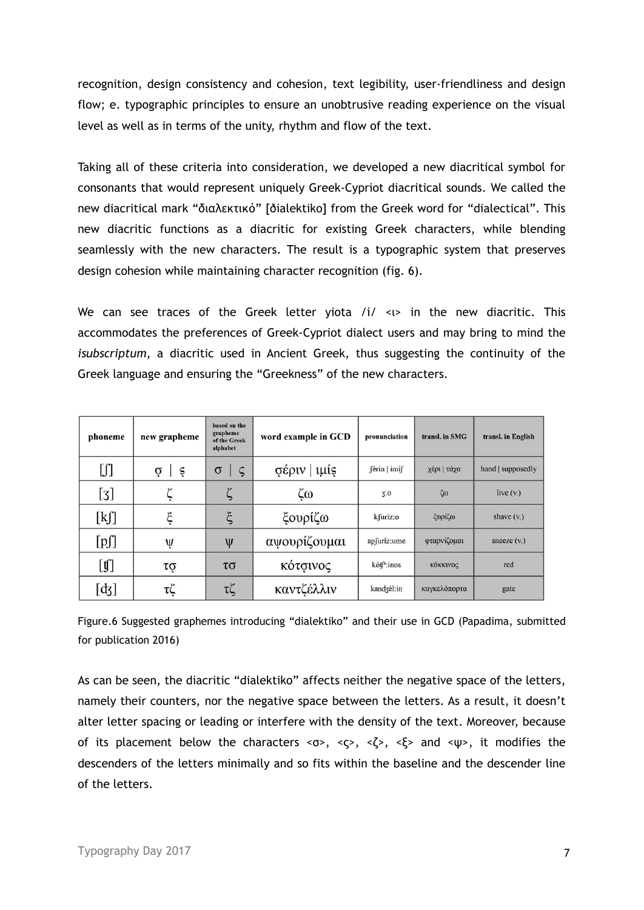recognition, design consistency and cohesion, text legibility, user-friendliness and design flow; e. typographic principles to ensure an unobtrusive reading experience on the visual level as well as in terms of the unity, rhythm and flow of the text.

Taking all of these criteria into consideration, we developed a new diacritical symbol for consonants that would represent uniquely Greek-Cypriot diacritical sounds. We called the new diacritical mark "διαλεκτικό" [ðialektiko] from the Greek word for "dialectical". This new diacritic functions as a diacritic for existing Greek characters, while blending seamlessly with the new characters. The result is a typographic system that preserves design cohesion while maintaining character recognition (fig. 6).

We can see traces of the Greek letter yiota  $/i / \langle n \rangle$  in the new diacritic. This accommodates the preferences of Greek-Cypriot dialect users and may bring to mind the *isubscriptum*, a diacritic used in Ancient Greek, thus suggesting the continuity of the Greek language and ensuring the "Greekness" of the new characters.

| phoneme                | new grapheme                      | based on the<br>grapheme<br>of the Greek<br>alphabet | word example in GCD | pronunciation          | transl. in SMG  | transl. in English |
|------------------------|-----------------------------------|------------------------------------------------------|---------------------|------------------------|-----------------|--------------------|
| [J]                    | $\dot{\sigma}$   $\dot{\epsilon}$ | $\sigma$<br>$\varsigma$                              | σέριν   ιμίς        | férin   imíf           | χέρι   τάχα     | hand   supposedly  |
| [3]                    |                                   |                                                      | ζω                  | 3:0                    | $\zeta\omega$   | live $(v)$         |
| [kʃ]                   | ξ                                 | $\xi$                                                | ξουρίζω             | kfuríz:o               | ξυρίζω          | shave $(v)$        |
| [p]                    | Ų                                 | $\Psi$                                               | αψουρίζουμαι        | apfuríz:ume            | φταρνίζομαι     | sneeze $(v)$       |
| $[\![\mathfrak{t}]\!]$ | τợ                                | $\tau\sigma$                                         | κότσινος            | kót <sup>h</sup> :inos | <b>κόκκινος</b> | red                |
| $[d_3]$                | τζ                                | τζ                                                   | καντζέλλιν          | kandzél:in             | καγκελόπορτα    | gate               |

Figure.6 Suggested graphemes introducing "dialektiko" and their use in GCD (Papadima, submitted for publication 2016)

As can be seen, the diacritic "dialektiko" affects neither the negative space of the letters, namely their counters, nor the negative space between the letters. As a result, it doesn't alter letter spacing or leading or interfere with the density of the text. Moreover, because of its placement below the characters  $\langle \sigma \rangle$ ,  $\langle \zeta \rangle$ ,  $\langle \zeta \rangle$ ,  $\langle \zeta \rangle$  and  $\langle \psi \rangle$ , it modifies the descenders of the letters minimally and so fits within the baseline and the descender line of the letters.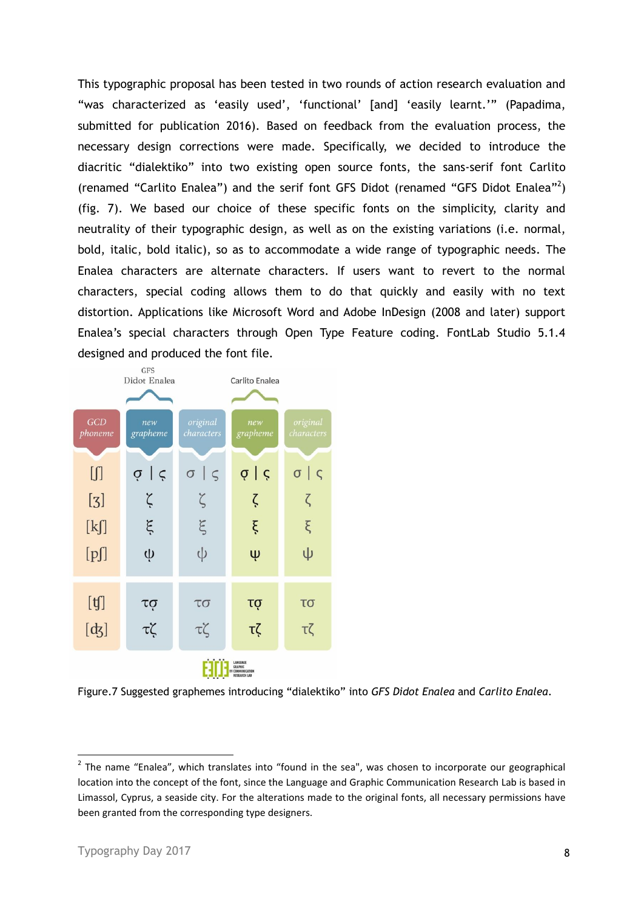This typographic proposal has been tested in two rounds of action research evaluation and "was characterized as 'easily used', 'functional' [and] 'easily learnt.'" (Papadima, submitted for publication 2016). Based on feedback from the evaluation process, the necessary design corrections were made. Specifically, we decided to introduce the diacritic "dialektiko" into two existing open source fonts, the sans-serif font Carlito (renamed "Carlito Enalea") and the serif font GFS Didot (renamed "GFS Didot Enalea"<sup>2</sup> ) (fig. 7). We based our choice of these specific fonts on the simplicity, clarity and neutrality of their typographic design, as well as on the existing variations (i.e. normal, bold, italic, bold italic), so as to accommodate a wide range of typographic needs. The Enalea characters are alternate characters. If users want to revert to the normal characters, special coding allows them to do that quickly and easily with no text distortion. Applications like Microsoft Word and Adobe InDesign (2008 and later) support Enalea's special characters through Open Type Feature coding. FontLab Studio 5.1.4 designed and produced the font file.



Figure.7 Suggested graphemes introducing "dialektiko" into *GFS Didot Enalea* and *Carlito Enalea*.

1

<sup>&</sup>lt;sup>2</sup> The name "Enalea", which translates into "found in the sea", was chosen to incorporate our geographical location into the concept of the font, since the Language and Graphic Communication Research Lab is based in Limassol, Cyprus, a seaside city. For the alterations made to the original fonts, all necessary permissions have been granted from the corresponding type designers.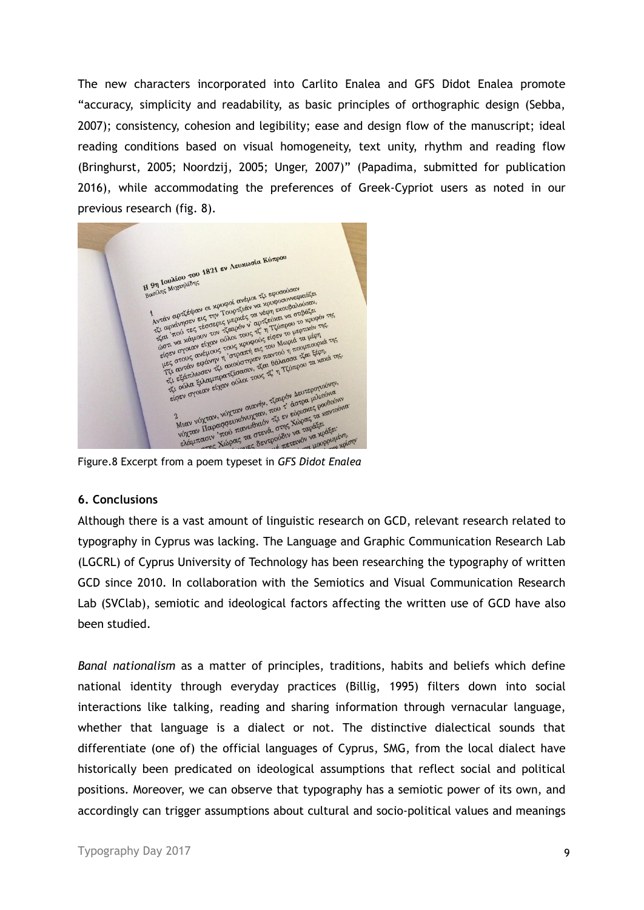The new characters incorporated into Carlito Enalea and GFS Didot Enalea promote "accuracy, simplicity and readability, as basic principles of orthographic design (Sebba, 2007); consistency, cohesion and legibility; ease and design flow of the manuscript; ideal reading conditions based on visual homogeneity, text unity, rhythm and reading flow (Bringhurst, 2005; Noordzij, 2005; Unger, 2007)" (Papadima, submitted for publication 2016), while accommodating the preferences of Greek-Cypriot users as noted in our previous research (fig. 8).

H 971 Ιουλίου του 1821 εν Λευχωσία Κύπρου H 97 Iouxiou Tou 9η Ιουλίου<br>πρόλης Μιχαηλίδης<br>1. Αντάν αρτζέψαν οι χρυφοί ανέμοι τζι εφυσούσαν<br>Αντάν αρτζέψαν οι χρυφοί ανέμοι τα νέφη εχουραλί<br>Αντάν αρτζέψαν οι χρυφούσαν<br>1. Αντάνησεν εξασερις μερικόν ν αρτζεύνει να στ 9η Ιουπησηλίδης<br>"Αυτόν αρτζέψου οι χρυφοί ονέμοι τζι εφυσούσαν<br>"Αντόν αρτζέψου οι χρυφοί ονέμοι να χρυφοσυνεφικός»<br>"Αντόν αρτζέψου οι χρυφοί ονέζιάν να χρυφοσυνευαιόταν.<br>"Απι πού τεριουν τον ζιοι τους τζι η πέρπειο το χρυ ντάν αρτζέψαν οι χρυφοί ανεινα χρυφουνθαλούσαν,<br>τις αρχίνησεν εις την Τουρτζάν να χρυφουνθαλούσαν, της αρχίνησεν εις την Τουρτζές τα νέφτη εχωρισμού της<br>τίαι 'πού τες τέσσερις μαρόν ν' αρτζεύνει να στιβάζει<br>τζαι 'πού χαμο αι<br>του του καταιούν του τους τζ η 1 μερτανου μερτανου του του κάμουν του τους χρυφούς είσεν το μερτανου της<br>στι να χάμουν τους χρυφούς είσεν Μωριά τα μέρη<br>του σχους ανέμους τους χρυφούς του Μωριά τα τέρη.<br>τους ανέμου τό σ a που κάμουν τον ούλοι τους είσεν Μοριά τα μέρη.<br>πει να χάμουν την οποίο τους είσεν Μοριά τα μέρη.<br>πες στους ανέμους τους χρηστή εις του Μοριά παι έξοπι,<br>ες στους αφάνην η "στραστήκεν παντό η πουμπορού τα χαλά της.<br>πες ασ  $\frac{1}{2}$  εκατλώσει της στρατικόπους τους τις μεταφοριεύνης τους τους τους τους προγραφινόνης τους τους προγραφινόνης τους προγραφινόνης τους τους προγραφινόνης τους προγραφινόνης τους προγραφινούνται τους τους προγραφιν ε ούλα είναν ούλω.<br>Το στοιαν είχαν ούλω.<br>Σημαν νύχταν, νύχταν στανήν, τζαιρόν Δευτεροποιούνα.<br>Μιαν νύχταν, νύχταν στανώδικον, τζι εν ελρισκές ρουδιονού.<br>Μιαν νύχταν του πανωθαίενα, στης για ταράξει:<br>ελάμπασιν, χώρας τα οπ Figure.8 Excerpt from a poem typeset in *GFS Didot Enalea* TO HOUPPOULEVII,

### **6. Conclusions**

Although there is a vast amount of linguistic research on GCD, relevant research related to typography in Cyprus was lacking. The Language and Graphic Communication Research Lab (LGCRL) of Cyprus University of Technology has been researching the typography of written GCD since 2010. In collaboration with the Semiotics and Visual Communication Research Lab (SVClab), semiotic and ideological factors affecting the written use of GCD have also been studied.

*Banal nationalism* as a matter of principles, traditions, habits and beliefs which define national identity through everyday practices (Billig, 1995) filters down into social interactions like talking, reading and sharing information through vernacular language, whether that language is a dialect or not. The distinctive dialectical sounds that differentiate (one of) the official languages of Cyprus, SMG, from the local dialect have historically been predicated on ideological assumptions that reflect social and political positions. Moreover, we can observe that typography has a semiotic power of its own, and accordingly can trigger assumptions about cultural and socio-political values and meanings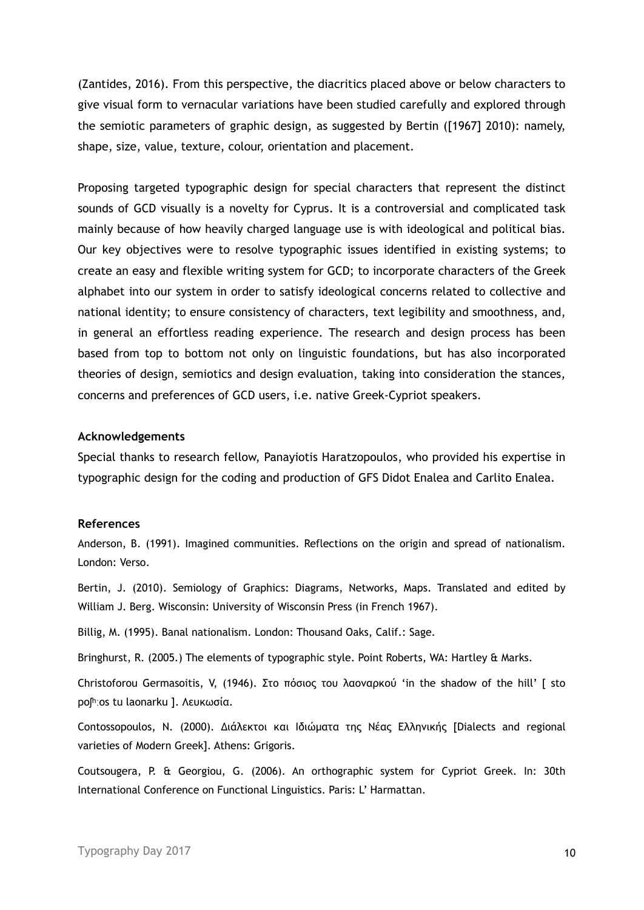(Zantides, 2016). From this perspective, the diacritics placed above or below characters to give visual form to vernacular variations have been studied carefully and explored through the semiotic parameters of graphic design, as suggested by Bertin ([1967] 2010): namely, shape, size, value, texture, colour, orientation and placement.

Proposing targeted typographic design for special characters that represent the distinct sounds of GCD visually is a novelty for Cyprus. It is a controversial and complicated task mainly because of how heavily charged language use is with ideological and political bias. Our key objectives were to resolve typographic issues identified in existing systems; to create an easy and flexible writing system for GCD; to incorporate characters of the Greek alphabet into our system in order to satisfy ideological concerns related to collective and national identity; to ensure consistency of characters, text legibility and smoothness, and, in general an effortless reading experience. The research and design process has been based from top to bottom not only on linguistic foundations, but has also incorporated theories of design, semiotics and design evaluation, taking into consideration the stances, concerns and preferences of GCD users, i.e. native Greek-Cypriot speakers.

### **Acknowledgements**

Special thanks to research fellow, Panayiotis Haratzopoulos, who provided his expertise in typographic design for the coding and production of GFS Didot Enalea and Carlito Enalea.

### **References**

Anderson, B. (1991). Imagined communities. Reflections on the origin and spread of nationalism. London: Verso.

Bertin, J. (2010). Semiology of Graphics: Diagrams, Networks, Maps. Translated and edited by William J. Berg. Wisconsin: University of Wisconsin Press (in French 1967).

Billig, M. (1995). Banal nationalism. London: Thousand Oaks, Calif.: Sage.

Bringhurst, R. (2005.) The elements of typographic style. Point Roberts, WA: Hartley & Marks.

Christoforou Germasoitis, V, (1946). Στο πόσιος του λαοναρκού 'in the shadow of the hill' [ sto poʃʰːos tu laonarku ]. Λευκωσία.

Contossopoulos, N. (2000). Διάλεκτοι και Ιδιώματα της Νέας Ελληνικής [Dialects and regional varieties of Modern Greek]. Athens: Grigoris.

Coutsougera, P. & Georgiou, G. (2006). An orthographic system for Cypriot Greek. In: 30th International Conference on Functional Linguistics. Paris: L' Harmattan.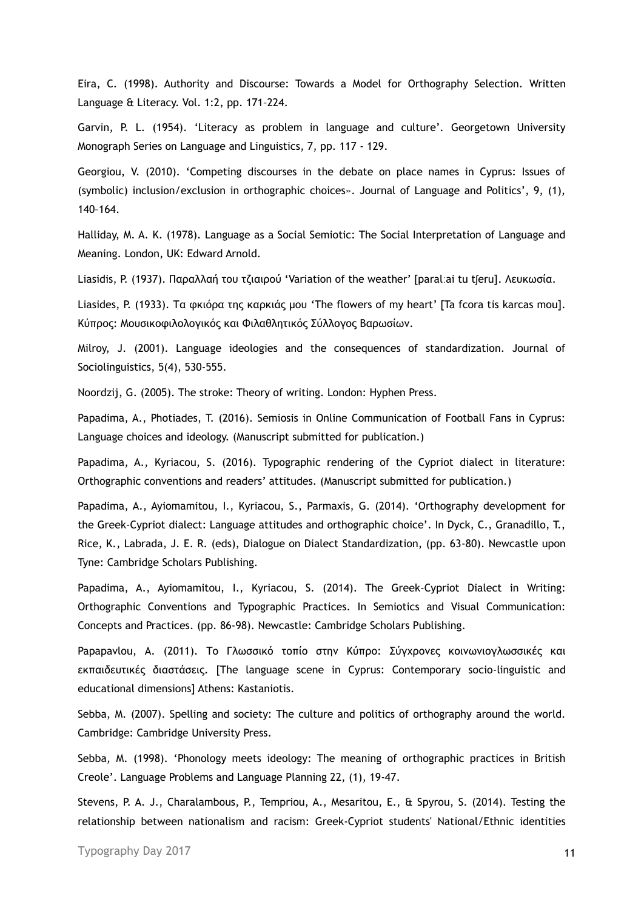Eira, C. (1998). Authority and Discourse: Towards a Model for Orthography Selection. Written Language & Literacy. Vol. 1:2, pp. 171–224.

Garvin, P. L. (1954). 'Literacy as problem in language and culture'. Georgetown University Monograph Series on Language and Linguistics, 7, pp. 117 - 129.

Georgiou, V. (2010). 'Competing discourses in the debate on place names in Cyprus: Issues of (symbolic) inclusion/exclusion in orthographic choices». Journal of Language and Politics', 9, (1), 140–164.

Halliday, M. A. K. (1978). Language as a Social Semiotic: The Social Interpretation of Language and Meaning. London, UK: Edward Arnold.

Liasidis, P. (1937). Παραλλαή του τζιαιρού 'Variation of the weather' [paralːai tu tʃeru]. Λευκωσία.

Liasides, P. (1933). Τα φκιόρα της καρκιάς µου 'The flowers of my heart' [Ta fcora tis karcas mou]. Κύπρος: Μουσικοφιλολογικός και Φιλαθλητικός Σύλλογος Βαρωσίων.

Milroy, J. (2001). Language ideologies and the consequences of standardization. Journal of Sociolinguistics, 5(4), 530-555.

Noordzij, G. (2005). The stroke: Theory of writing. London: Hyphen Press.

Papadima, A., Photiades, T. (2016). Semiosis in Online Communication of Football Fans in Cyprus: Language choices and ideology. (Manuscript submitted for publication.)

Papadima, A., Kyriacou, S. (2016). Typographic rendering of the Cypriot dialect in literature: Orthographic conventions and readers' attitudes. (Manuscript submitted for publication.)

Papadima, A., Ayiomamitou, I., Kyriacou, S., Parmaxis, G. (2014). 'Orthography development for the Greek-Cypriot dialect: Language attitudes and orthographic choice'. In Dyck, C., Granadillo, T., Rice, K., Labrada, J. E. R. (eds), Dialogue on Dialect Standardization, (pp. 63-80). Newcastle upon Tyne: Cambridge Scholars Publishing.

Papadima, A., Ayiomamitou, I., Kyriacou, S. (2014). The Greek-Cypriot Dialect in Writing: Orthographic Conventions and Typographic Practices. In Semiotics and Visual Communication: Concepts and Practices. (pp. 86-98). Newcastle: Cambridge Scholars Publishing.

Papapavlou, Α. (2011). Το Γλωσσικό τοπίο στην Κύπρο: Σύγχρονες κοινωνιογλωσσικές και εκπαιδευτικές διαστάσεις. [The language scene in Cyprus: Contemporary socio-linguistic and educational dimensions] Athens: Kastaniotis.

Sebba, M. (2007). Spelling and society: The culture and politics of orthography around the world. Cambridge: Cambridge University Press.

Sebba, M. (1998). 'Phonology meets ideology: The meaning of orthographic practices in British Creole'. Language Problems and Language Planning 22, (1), 19-47.

Stevens, P. A. J., Charalambous, P., Tempriou, A., Mesaritou, E., & Spyrou, S. (2014). Testing the relationship between nationalism and racism: Greek-Cypriot students' National/Ethnic identities